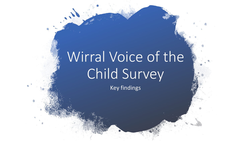# Wirral Voice of the Child Survey

Key findings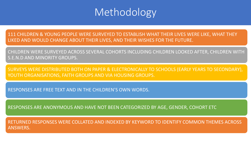## Methodology

111 CHILDREN & YOUNG PEOPLE WERE SURVEYED TO ESTABLISH WHAT THEIR LIVES WERE LIKE, WHAT THEY LIKED AND WOULD CHANGE ABOUT THEIR LIVES, AND THEIR WISHES FOR THE FUTURE.

CHILDREN WERE SURVEYED ACROSS SEVERAL COHORTS INCLUDING CHILDREN LOOKED AFTER, CHILDREN WITH S.E.N.D AND MINORITY GROUPS.

SURVEYS WERE DISTRIBUTED BOTH ON PAPER & ELECTRONICALLY TO SCHOOLS (EARLY YEARS TO SECONDARY), YOUTH ORGANISATIONS, FAITH GROUPS AND VIA HOUSING GROUPS.

RESPONSES ARE FREE TEXT AND IN THE CHILDREN'S OWN WORDS.

RESPONSES ARE ANONYMOUS AND HAVE NOT BEEN CATEGORIZED BY AGE, GENDER, COHORT ETC

RETURNED RESPONSES WERE COLLATED AND INDEXED BY KEYWORD TO IDENTIFY COMMON THEMES ACROSS ANSWERS.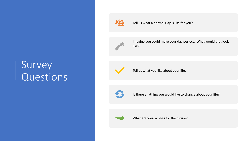# Survey Questions



Tell us what a normal Day is like for you?



Imagine you could make your day perfect. What would that look like?



Tell us what you like about your life.



Is there anything you would like to change about your life?



What are your wishes for the future?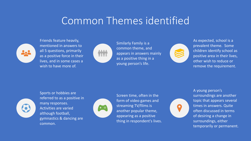## Common Themes identified



Friends feature heavily, mentioned in answers to all 5 questions, primarily as a positive force in their lives, and in some cases a wish to have more of.



Similarly Family is a common theme, and appears in answers mainly as a positive thing in a young person's life.



As expected, school is a prevalent theme. Some children identify school as positive area in their lives, other wish to reduce or remove the requirement.



Sports or hobbies are referred to as a positive in many responses. Activities are varied although football, gymnastics & dancing are common.



Screen time, often in the form of video games and streaming TV/films is another popular theme, appearing as a positive thing in respondent's lives.



A young person's surroundings are another topic that appears several times in answers. Quite often discussed in terms of desiring a change in surroundings, either temporarily or permanent.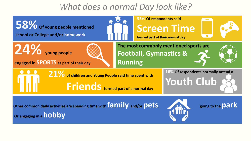## *What does a normal Day look like?*

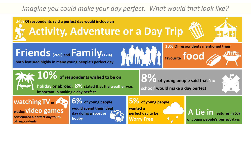#### *Imagine you could make your day perfect. What would that look like?*

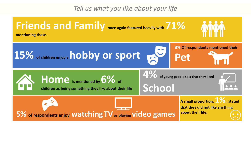*Tell us what you like about your life*

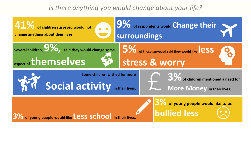#### *Is there anything you would change about your life?*